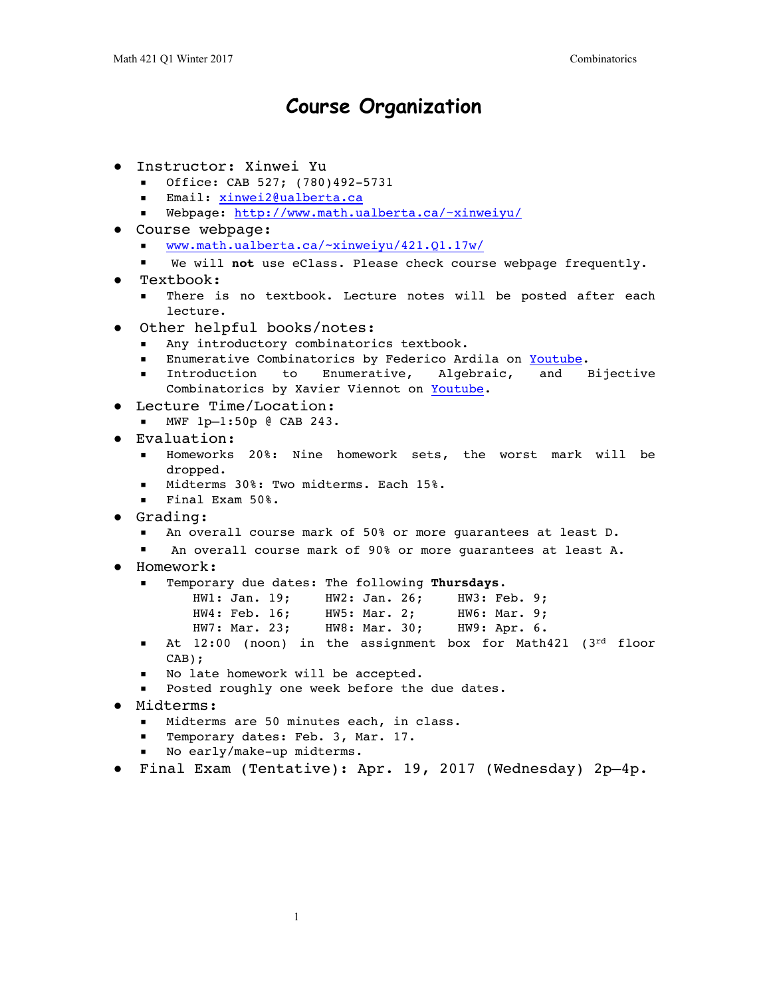## **Course Organization**

- Instructor: Xinwei Yu
	- Office: CAB 527; (780)492-5731
	- Email: [xinwei2@ualberta.ca](mailto:xinwei2@ualberta.ca)
	- Webpage:<http://www.math.ualberta.ca/~xinweiyu/>
- Course webpage:
	- [www.math.ualberta.ca/~xinweiyu/421.Q1.17w/](http://www.math.ualberta.ca/~xinweiyu/421.Q1.17w/)
	- We will not use eClass. Please check course webpage frequently.
- Textbook:
	- There is no textbook. Lecture notes will be posted after each lecture.
	- Other helpful books/notes:
		- Any introductory combinatorics textbook.
		- Enumerative Combinatorics by Federico Ardila on [Youtube](https://youtu.be/vKskmKq3v40?list=PL-XzhVrXIVeSi7xym1XAfFIxOAaHVhjtP).
		- Introduction to Enumerative, Algebraic, and Bijective Combinatorics by Xavier Viennot on [Youtube](https://youtu.be/xoRxGdc6V8A?list=PLhkiT_RYTEU3dNiYxNIICOG6zQUsJuRdt).
- Lecture Time/Location:
	- MWF 1p—1:50p @ CAB 243.
- Evaluation:
	- Homeworks 20%: Nine homework sets, the worst mark will be dropped.
	- Midterms 30%: Two midterms. Each 15%.
	- Final Exam 50%.
- Grading:
	- An overall course mark of 50% or more guarantees at least D.
	- An overall course mark of 90% or more quarantees at least  $A$ .
- Homework:
	- Temporary due dates: The following **Thursdays**.

| HW1: Jan. 19: |  | HW2: Jan. 26: |  | HW3: Feb. 9; |  |
|---------------|--|---------------|--|--------------|--|
| HW4: Feb. 16; |  | HW5: Mar. 2;  |  | HW6: Mar. 9; |  |
| HW7: Mar. 23; |  | HW8: Mar. 30; |  | HW9: Apr. 6. |  |

- $\blacksquare$  At 12:00 (noon) in the assignment box for Math421 (3rd floor CAB);
- No late homework will be accepted.
- Posted roughly one week before the due dates.
- Midterms:
	- Midterms are 50 minutes each, in class.
	- Temporary dates: Feb. 3, Mar. 17.
	- No early/make-up midterms.
- Final Exam (Tentative): Apr. 19, 2017 (Wednesday) 2p—4p.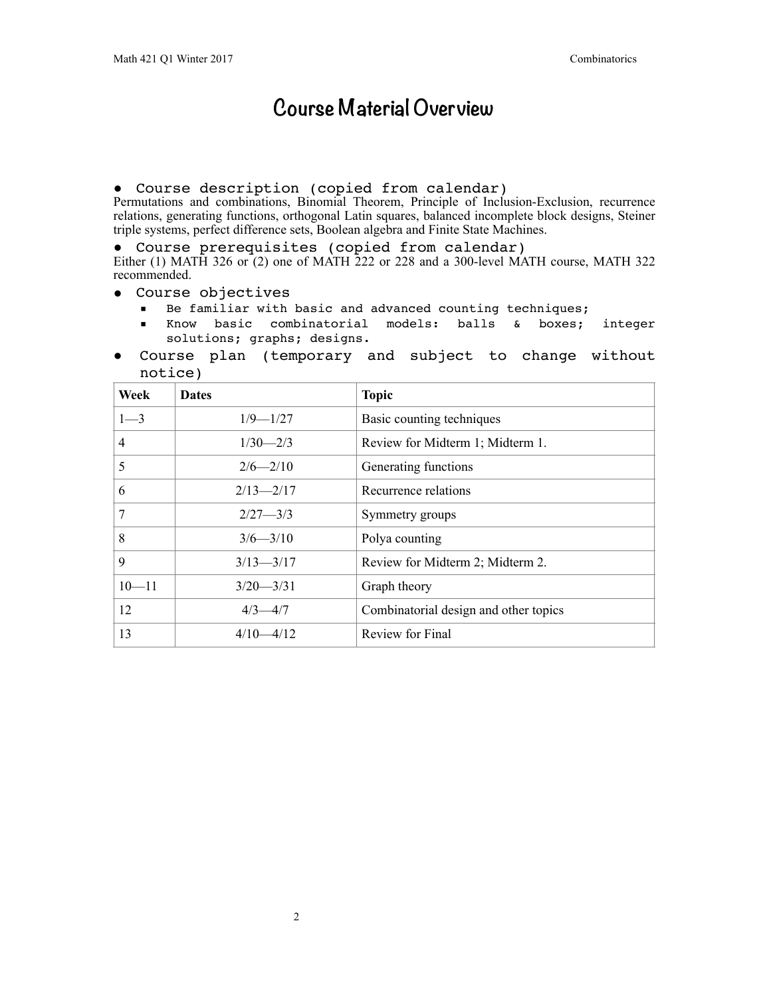# **Course Material Overview**

## ● Course description (copied from calendar)

Permutations and combinations, Binomial Theorem, Principle of Inclusion-Exclusion, recurrence relations, generating functions, orthogonal Latin squares, balanced incomplete block designs, Steiner triple systems, perfect difference sets, Boolean algebra and Finite State Machines.

● Course prerequisites (copied from calendar)

Either (1) MATH 326 or (2) one of MATH 222 or 228 and a 300-level MATH course, MATH 322 recommended.

- Course objectives
	- Be familiar with basic and advanced counting techniques;
	- Know basic combinatorial models: balls & boxes; integer solutions; graphs; designs.
- Course plan (temporary and subject to change without notice)

| Week      | <b>Dates</b>  | <b>Topic</b>                          |  |  |
|-----------|---------------|---------------------------------------|--|--|
| $1 - 3$   | $1/9 - 1/27$  | Basic counting techniques             |  |  |
| 4         | $1/30 - 2/3$  | Review for Midterm 1; Midterm 1.      |  |  |
| 5         | $2/6 - 2/10$  | Generating functions                  |  |  |
| 6         | $2/13 - 2/17$ | Recurrence relations                  |  |  |
| 7         | $2/27 - 3/3$  | Symmetry groups                       |  |  |
| 8         | $3/6 - 3/10$  | Polya counting                        |  |  |
| 9         | $3/13 - 3/17$ | Review for Midterm 2; Midterm 2.      |  |  |
| $10 - 11$ | $3/20 - 3/31$ | Graph theory                          |  |  |
| 12        | $4/3 - 4/7$   | Combinatorial design and other topics |  |  |
| 13        | $4/10 - 4/12$ | Review for Final                      |  |  |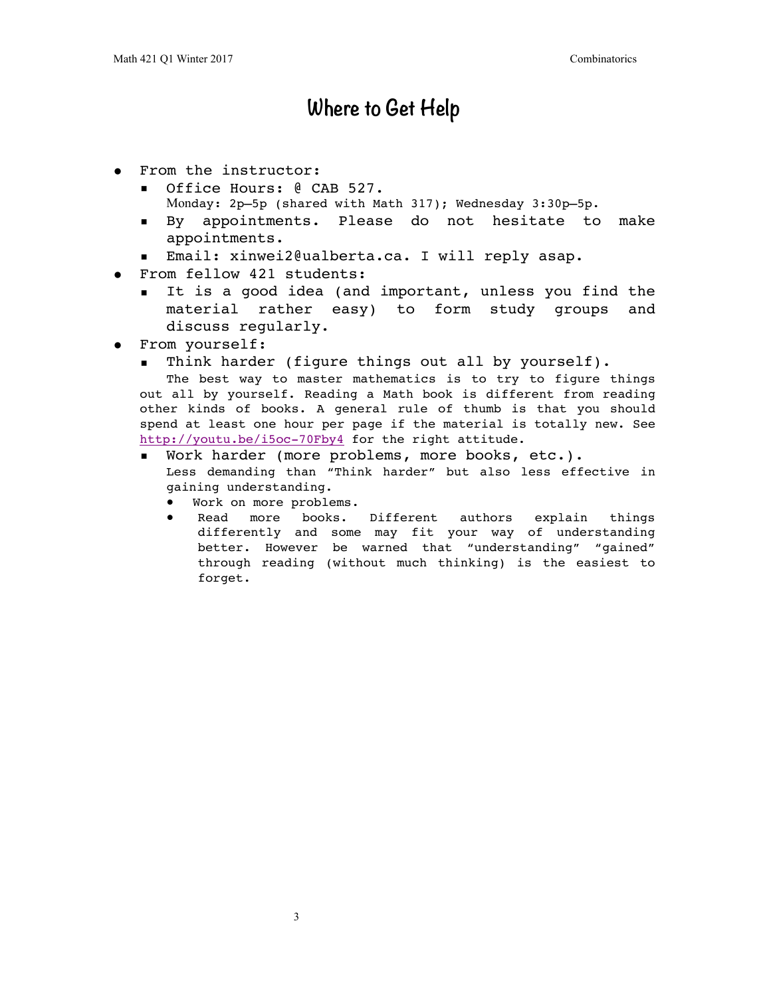## **Where to Get Help**

- From the instructor:
	- Office Hours: @ CAB 527. Monday: 2p—5p (shared with Math 317); Wednesday 3:30p—5p.
	- By appointments. Please do not hesitate to make appointments.
	- Email: xinwei2@ualberta.ca. I will reply asap.
- From fellow 421 students:
	- It is a good idea (and important, unless you find the material rather easy) to form study groups and discuss regularly.
- From yourself:
	- Think harder (figure things out all by yourself).

The best way to master mathematics is to try to figure things out all by yourself. Reading a Math book is different from reading other kinds of books. A general rule of thumb is that you should spend at least one hour per page if the material is totally new. See <http://youtu.be/i5oc-70Fby4> for the right attitude.

- Work harder (more problems, more books, etc.). Less demanding than "Think harder" but also less effective in gaining understanding.
	- Work on more problems.
	- Read more books. Different authors explain things differently and some may fit your way of understanding better. However be warned that "understanding" "gained" through reading (without much thinking) is the easiest to forget.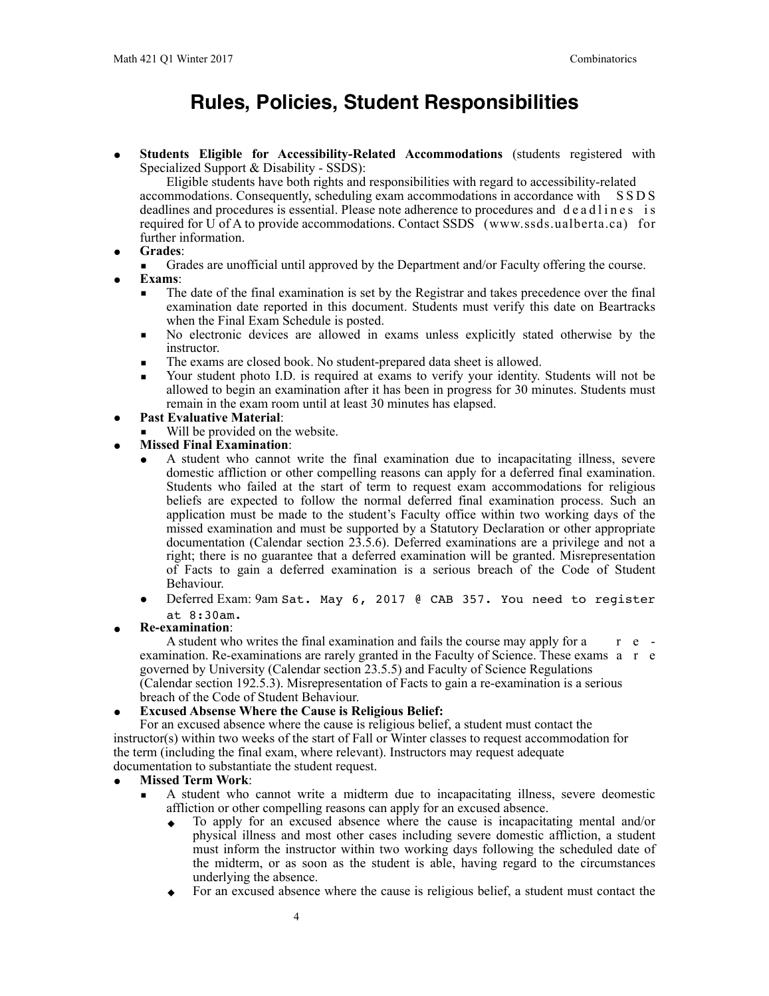## **Rules, Policies, Student Responsibilities**

● **Students Eligible for Accessibility-Related Accommodations** (students registered with Specialized Support & Disability - SSDS):

Eligible students have both rights and responsibilities with regard to accessibility-related accommodations. Consequently, scheduling exam accommodations in accordance with S S D S deadlines and procedures is essential. Please note adherence to procedures and d e a d l i n e s is required for U of A to provide accommodations. Contact SSDS (www.ssds.ualberta.ca) for further information.

- **Grades**:
	- Grades are unofficial until approved by the Department and/or Faculty offering the course.
- **Exams**:
	- The date of the final examination is set by the Registrar and takes precedence over the final examination date reported in this document. Students must verify this date on Beartracks when the Final Exam Schedule is posted.
	- No electronic devices are allowed in exams unless explicitly stated otherwise by the instructor.
	- The exams are closed book. No student-prepared data sheet is allowed.
	- Your student photo I.D. is required at exams to verify your identity. Students will not be allowed to begin an examination after it has been in progress for 30 minutes. Students must remain in the exam room until at least 30 minutes has elapsed.

### **Past Evaluative Material:**

Will be provided on the website.

### ● **Missed Final Examination**:

- A student who cannot write the final examination due to incapacitating illness, severe domestic affliction or other compelling reasons can apply for a deferred final examination. Students who failed at the start of term to request exam accommodations for religious beliefs are expected to follow the normal deferred final examination process. Such an application must be made to the student's Faculty office within two working days of the missed examination and must be supported by a Statutory Declaration or other appropriate documentation (Calendar section 23.5.6). Deferred examinations are a privilege and not a right; there is no guarantee that a deferred examination will be granted. Misrepresentation of Facts to gain a deferred examination is a serious breach of the Code of Student Behaviour.
- Deferred Exam: 9am Sat. May 6, 2017 @ CAB 357. You need to register at 8:30am.
- **Re-examination**:

A student who writes the final examination and fails the course may apply for a  $\epsilon$  examination. Re-examinations are rarely granted in the Faculty of Science. These exams a r e governed by University (Calendar section 23.5.5) and Faculty of Science Regulations (Calendar section 192.5.3). Misrepresentation of Facts to gain a re-examination is a serious breach of the Code of Student Behaviour.

### **Excused Absense Where the Cause is Religious Belief:**

For an excused absence where the cause is religious belief, a student must contact the instructor(s) within two weeks of the start of Fall or Winter classes to request accommodation for the term (including the final exam, where relevant). Instructors may request adequate documentation to substantiate the student request.

### ● **Missed Term Work**:

- A student who cannot write a midterm due to incapacitating illness, severe deomestic affliction or other compelling reasons can apply for an excused absence.
	- ◆ To apply for an excused absence where the cause is incapacitating mental and/or physical illness and most other cases including severe domestic affliction, a student must inform the instructor within two working days following the scheduled date of the midterm, or as soon as the student is able, having regard to the circumstances underlying the absence.
	- For an excused absence where the cause is religious belief, a student must contact the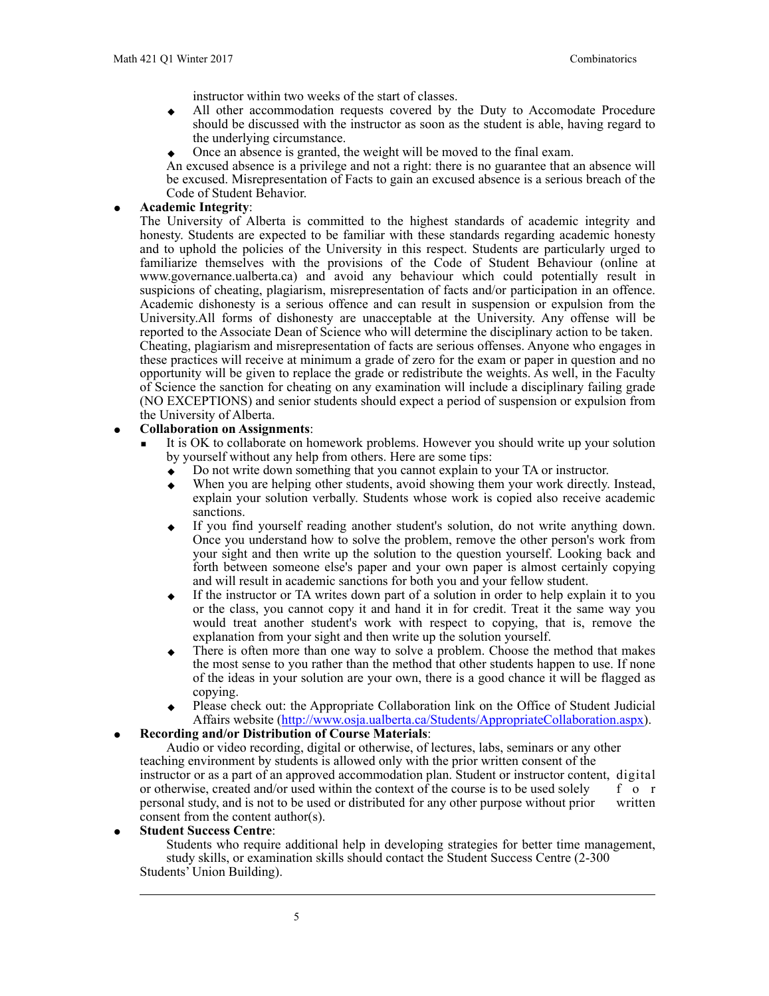instructor within two weeks of the start of classes.

- ◆ All other accommodation requests covered by the Duty to Accomodate Procedure should be discussed with the instructor as soon as the student is able, having regard to the underlying circumstance.
- Once an absence is granted, the weight will be moved to the final exam.

An excused absence is a privilege and not a right: there is no guarantee that an absence will be excused. Misrepresentation of Facts to gain an excused absence is a serious breach of the Code of Student Behavior.

#### ● **Academic Integrity**:

The University of Alberta is committed to the highest standards of academic integrity and honesty. Students are expected to be familiar with these standards regarding academic honesty and to uphold the policies of the University in this respect. Students are particularly urged to familiarize themselves with the provisions of the Code of Student Behaviour (online at www.governance.ualberta.ca) and avoid any behaviour which could potentially result in suspicions of cheating, plagiarism, misrepresentation of facts and/or participation in an offence. Academic dishonesty is a serious offence and can result in suspension or expulsion from the University.All forms of dishonesty are unacceptable at the University. Any offense will be reported to the Associate Dean of Science who will determine the disciplinary action to be taken. Cheating, plagiarism and misrepresentation of facts are serious offenses. Anyone who engages in these practices will receive at minimum a grade of zero for the exam or paper in question and no opportunity will be given to replace the grade or redistribute the weights. As well, in the Faculty of Science the sanction for cheating on any examination will include a disciplinary failing grade (NO EXCEPTIONS) and senior students should expect a period of suspension or expulsion from the University of Alberta.

#### ● **Collaboration on Assignments**:

- It is OK to collaborate on homework problems. However you should write up your solution by yourself without any help from others. Here are some tips:
	- ◆ Do not write down something that you cannot explain to your TA or instructor.
	- $\bullet$  When you are helping other students, avoid showing them your work directly. Instead, explain your solution verbally. Students whose work is copied also receive academic sanctions.
	- If you find yourself reading another student's solution, do not write anything down. Once you understand how to solve the problem, remove the other person's work from your sight and then write up the solution to the question yourself. Looking back and forth between someone else's paper and your own paper is almost certainly copying and will result in academic sanctions for both you and your fellow student.
	- If the instructor or TA writes down part of a solution in order to help explain it to you or the class, you cannot copy it and hand it in for credit. Treat it the same way you would treat another student's work with respect to copying, that is, remove the explanation from your sight and then write up the solution yourself.
	- There is often more than one way to solve a problem. Choose the method that makes the most sense to you rather than the method that other students happen to use. If none of the ideas in your solution are your own, there is a good chance it will be flagged as copying.
	- Please check out: the Appropriate Collaboration link on the Office of Student Judicial Affairs website [\(http://www.osja.ualberta.ca/Students/AppropriateCollaboration.aspx\)](http://www.osja.ualberta.ca/Students/AppropriateCollaboration.aspx).

#### ● **Recording and/or Distribution of Course Materials**:

Audio or video recording, digital or otherwise, of lectures, labs, seminars or any other teaching environment by students is allowed only with the prior written consent of the instructor or as a part of an approved accommodation plan. Student or instructor content, digital or otherwise, created and/or used within the context of the course is to be used solely f o r personal study, and is not to be used or distributed for any other purpose without prior written consent from the content author(s).

**Student Success Centre:** 

Students who require additional help in developing strategies for better time management, study skills, or examination skills should contact the Student Success Centre (2-300 Students' Union Building).